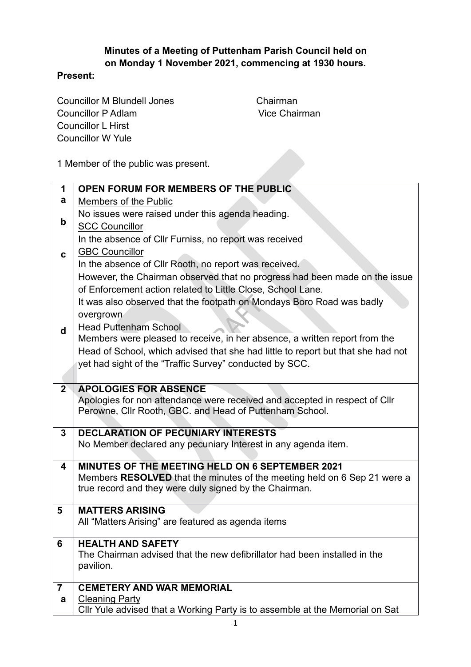## **Minutes of a Meeting of Puttenham Parish Council held on on Monday 1 November 2021, commencing at 1930 hours.**

## **Present:**

Councillor M Blundell Jones Chairman Councillor P Adlam Vice Chairman Councillor L Hirst Councillor W Yule

1 Member of the public was present.

| 1                       | OPEN FORUM FOR MEMBERS OF THE PUBLIC                                                                                                  |
|-------------------------|---------------------------------------------------------------------------------------------------------------------------------------|
| a                       | Members of the Public                                                                                                                 |
| $\mathbf b$             | No issues were raised under this agenda heading.                                                                                      |
|                         | <b>SCC Councillor</b>                                                                                                                 |
| $\mathbf{c}$            | In the absence of Cllr Furniss, no report was received                                                                                |
|                         | <b>GBC Councillor</b>                                                                                                                 |
|                         | In the absence of Cllr Rooth, no report was received.                                                                                 |
|                         | However, the Chairman observed that no progress had been made on the issue                                                            |
|                         | of Enforcement action related to Little Close, School Lane.                                                                           |
|                         | It was also observed that the footpath on Mondays Boro Road was badly                                                                 |
| d                       | overgrown                                                                                                                             |
|                         | <b>Head Puttenham School</b>                                                                                                          |
|                         | Members were pleased to receive, in her absence, a written report from the                                                            |
|                         | Head of School, which advised that she had little to report but that she had not                                                      |
|                         | yet had sight of the "Traffic Survey" conducted by SCC.                                                                               |
|                         |                                                                                                                                       |
| $2^{\circ}$             | <b>APOLOGIES FOR ABSENCE</b>                                                                                                          |
|                         | Apologies for non attendance were received and accepted in respect of Cllr<br>Perowne, Cllr Rooth, GBC. and Head of Puttenham School. |
|                         |                                                                                                                                       |
| 3                       | <b>DECLARATION OF PECUNIARY INTERESTS</b>                                                                                             |
|                         | No Member declared any pecuniary Interest in any agenda item.                                                                         |
|                         |                                                                                                                                       |
| $\overline{\mathbf{4}}$ | MINUTES OF THE MEETING HELD ON 6 SEPTEMBER 2021                                                                                       |
|                         | Members RESOLVED that the minutes of the meeting held on 6 Sep 21 were a<br>true record and they were duly signed by the Chairman.    |
|                         |                                                                                                                                       |
| 5                       | <b>MATTERS ARISING</b>                                                                                                                |
|                         | All "Matters Arising" are featured as agenda items                                                                                    |
| 6                       | <b>HEALTH AND SAFETY</b>                                                                                                              |
|                         | The Chairman advised that the new defibrillator had been installed in the                                                             |
|                         | pavilion.                                                                                                                             |
|                         |                                                                                                                                       |
| $\overline{7}$          | <b>CEMETERY AND WAR MEMORIAL</b>                                                                                                      |
| a                       | <b>Cleaning Party</b>                                                                                                                 |
|                         | Cllr Yule advised that a Working Party is to assemble at the Memorial on Sat                                                          |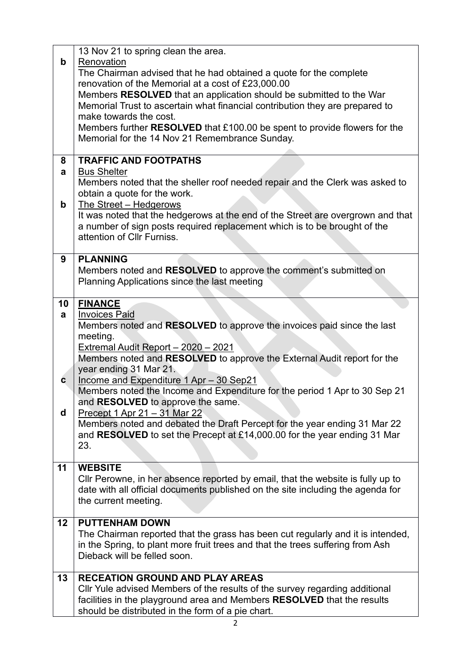| $\mathbf b$       | 13 Nov 21 to spring clean the area.<br>Renovation<br>The Chairman advised that he had obtained a quote for the complete<br>renovation of the Memorial at a cost of £23,000.00<br>Members RESOLVED that an application should be submitted to the War<br>Memorial Trust to ascertain what financial contribution they are prepared to<br>make towards the cost.<br>Members further RESOLVED that £100.00 be spent to provide flowers for the |
|-------------------|---------------------------------------------------------------------------------------------------------------------------------------------------------------------------------------------------------------------------------------------------------------------------------------------------------------------------------------------------------------------------------------------------------------------------------------------|
|                   | Memorial for the 14 Nov 21 Remembrance Sunday.                                                                                                                                                                                                                                                                                                                                                                                              |
| 8<br>a            | <b>TRAFFIC AND FOOTPATHS</b><br><b>Bus Shelter</b><br>Members noted that the sheller roof needed repair and the Clerk was asked to                                                                                                                                                                                                                                                                                                          |
| $\mathbf b$       | obtain a quote for the work.<br>The Street - Hedgerows<br>It was noted that the hedgerows at the end of the Street are overgrown and that<br>a number of sign posts required replacement which is to be brought of the<br>attention of Cllr Furniss.                                                                                                                                                                                        |
| 9                 | <b>PLANNING</b><br>Members noted and RESOLVED to approve the comment's submitted on<br>Planning Applications since the last meeting                                                                                                                                                                                                                                                                                                         |
| 10<br>a           | <b>FINANCE</b><br><b>Invoices Paid</b><br>Members noted and RESOLVED to approve the invoices paid since the last<br>meeting.<br>Extremal Audit Report - 2020 - 2021<br>Members noted and RESOLVED to approve the External Audit report for the<br>year ending 31 Mar 21.                                                                                                                                                                    |
| $\mathbf{c}$<br>d | Income and Expenditure 1 Apr - 30 Sep21<br>Members noted the Income and Expenditure for the period 1 Apr to 30 Sep 21<br>and RESOLVED to approve the same.<br>Precept 1 Apr $21 - 31$ Mar 22                                                                                                                                                                                                                                                |
|                   | Members noted and debated the Draft Percept for the year ending 31 Mar 22<br>and RESOLVED to set the Precept at £14,000.00 for the year ending 31 Mar<br>23.                                                                                                                                                                                                                                                                                |
| 11                | <b>WEBSITE</b><br>Cllr Perowne, in her absence reported by email, that the website is fully up to<br>date with all official documents published on the site including the agenda for<br>the current meeting.                                                                                                                                                                                                                                |
| 12                | <b>PUTTENHAM DOWN</b><br>The Chairman reported that the grass has been cut regularly and it is intended,<br>in the Spring, to plant more fruit trees and that the trees suffering from Ash<br>Dieback will be felled soon.                                                                                                                                                                                                                  |
| 13                | <b>RECEATION GROUND AND PLAY AREAS</b><br>Cllr Yule advised Members of the results of the survey regarding additional<br>facilities in the playground area and Members RESOLVED that the results<br>should be distributed in the form of a pie chart.                                                                                                                                                                                       |